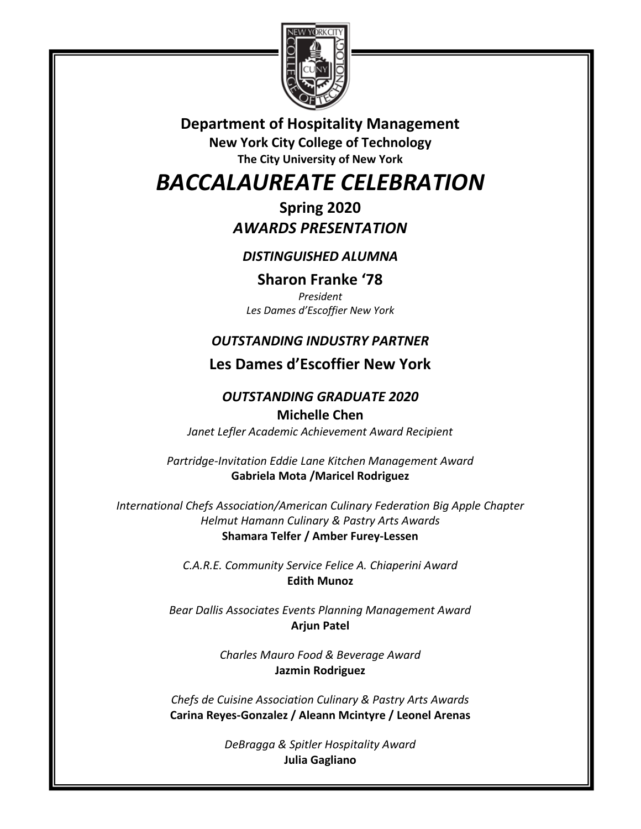

**Department of Hospitality Management New York City College of Technology The City University of New York** 

# *BACCALAUREATE CELEBRATION*

**Spring 2020**  *AWARDS PRESENTATION* 

### *DISTINGUISHED ALUMNA*

**Sharon Franke '78** *President Les Dames d'Escoffier New York*

## *OUTSTANDING INDUSTRY PARTNER*

# **Les Dames d'Escoffier New York**

### *OUTSTANDING GRADUATE 2020* **Michelle Chen**

*Janet Lefler Academic Achievement Award Recipient* 

*Partridge-Invitation Eddie Lane Kitchen Management Award*  **Gabriela Mota /Maricel Rodriguez** 

*International Chefs Association/American Culinary Federation Big Apple Chapter Helmut Hamann Culinary & Pastry Arts Awards*  **Shamara Telfer / Amber Furey-Lessen** 

> *C.A.R.E. Community Service Felice A. Chiaperini Award*  **Edith Munoz**

*Bear Dallis Associates Events Planning Management Award*  **Arjun Patel** 

> *Charles Mauro Food & Beverage Award*  **Jazmin Rodriguez**

*Chefs de Cuisine Association Culinary & Pastry Arts Awards*  **Carina Reyes-Gonzalez / Aleann Mcintyre / Leonel Arenas** 

> *DeBragga & Spitler Hospitality Award*  **Julia Gagliano**